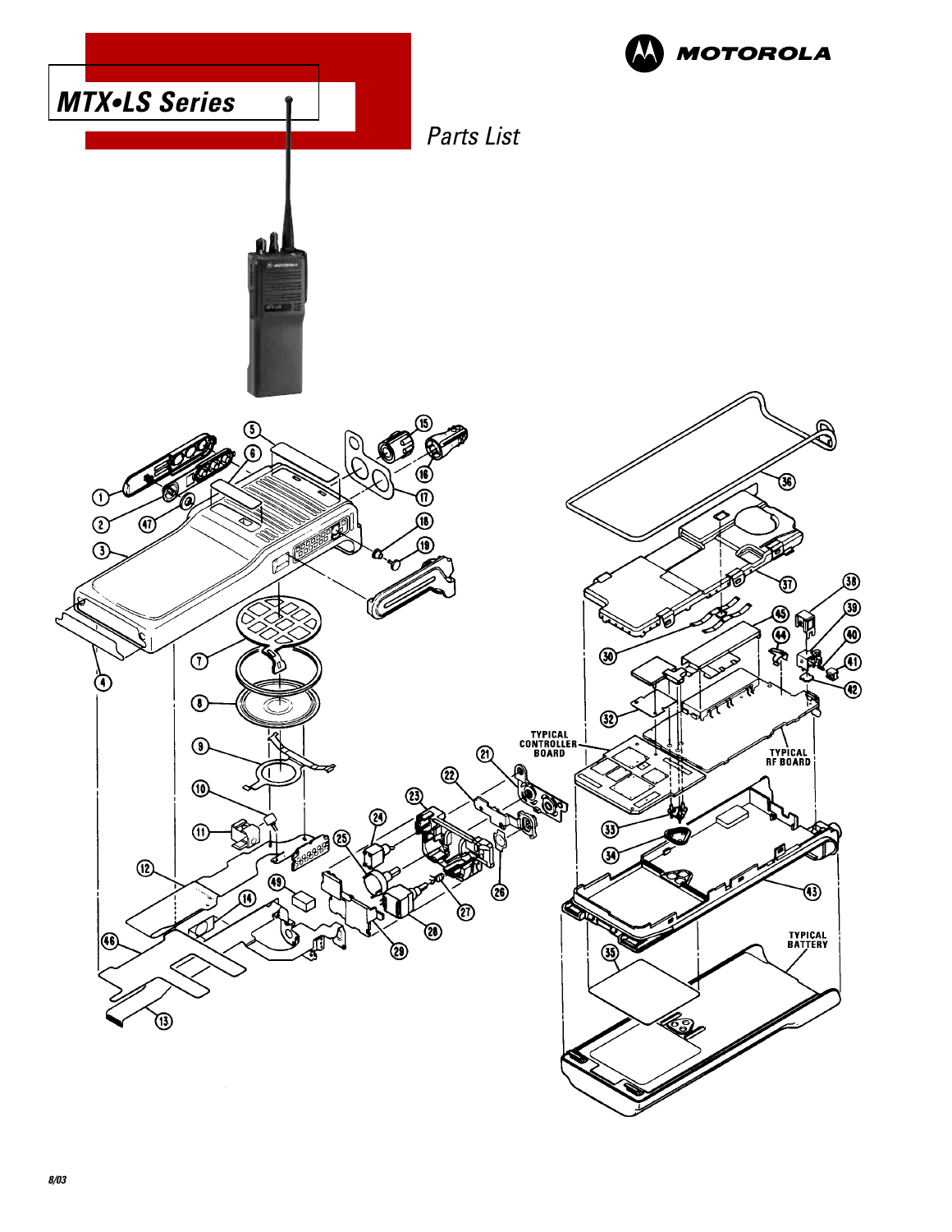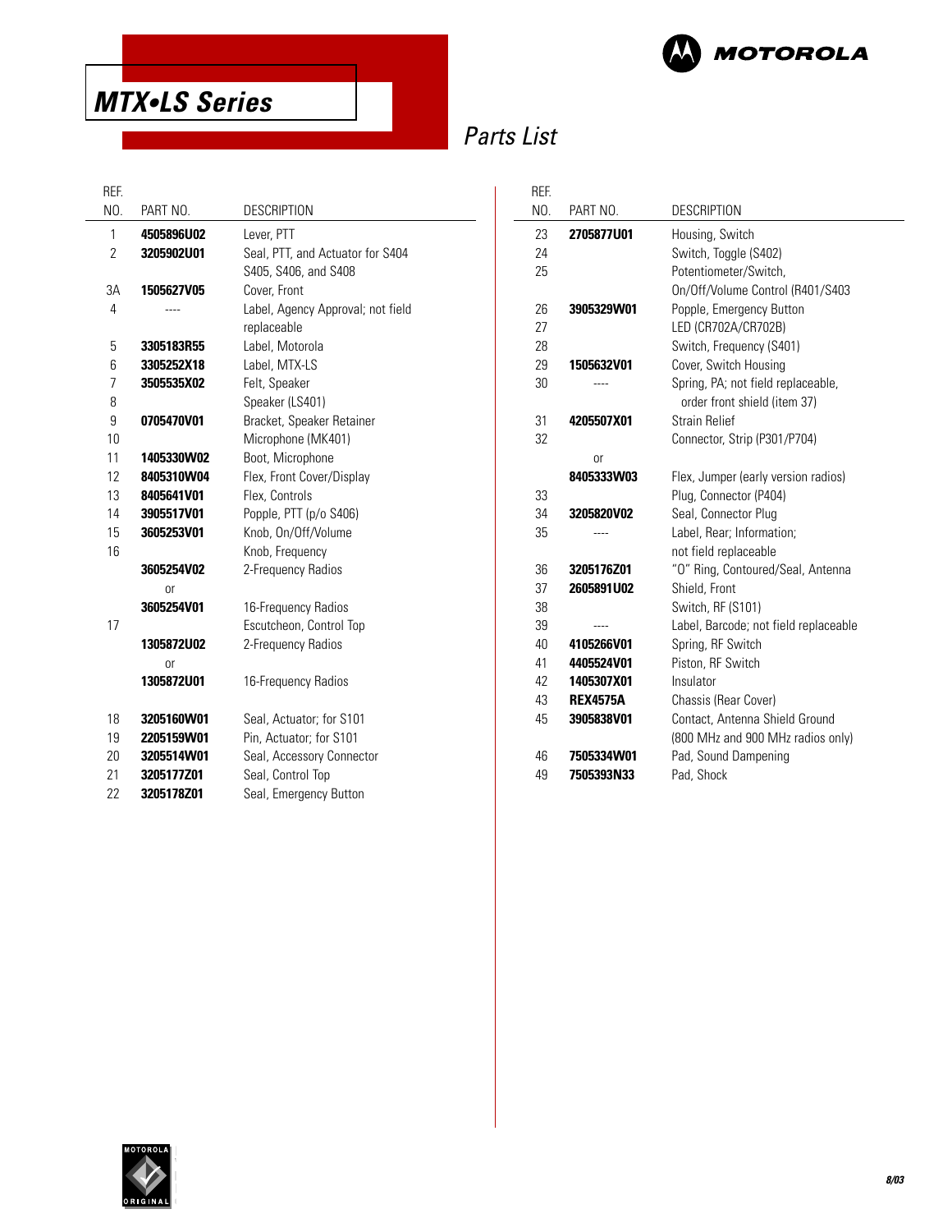

# **MTX•LS Series**

# Parts List

#### REF.

| REF.           |                   |                                   | REF. |
|----------------|-------------------|-----------------------------------|------|
| NO.            | PART NO.          | <b>DESCRIPTION</b>                | NO.  |
| 1              | 4505896U02        | Lever, PTT                        | 23   |
| $\overline{2}$ | 3205902U01        | Seal, PTT, and Actuator for S404  | 24   |
|                |                   | S405, S406, and S408              | 25   |
| 3A             | 1505627V05        | Cover, Front                      |      |
| 4              |                   | Label, Agency Approval; not field | 26   |
|                |                   | replaceable                       | 27   |
| 5              | 3305183R55        | Label, Motorola                   | 28   |
| 6              | 3305252X18        | Label, MTX-LS                     | 29   |
| 7              | 3505535X02        | Felt, Speaker                     | 30   |
| 8              |                   | Speaker (LS401)                   |      |
| 9              | 0705470V01        | Bracket, Speaker Retainer         | 31   |
| 10             |                   | Microphone (MK401)                | 32   |
| 11             | 1405330W02        | Boot, Microphone                  |      |
| 12             | 8405310W04        | Flex, Front Cover/Display         |      |
| 13             | 8405641V01        | Flex, Controls                    | 33   |
| 14             | 3905517V01        | Popple, PTT (p/o S406)            | 34   |
| 15             | 3605253V01        | Knob, On/Off/Volume               | 35   |
| 16             |                   | Knob, Frequency                   |      |
|                | 3605254V02        | 2-Frequency Radios                | 36   |
|                | <sub>or</sub>     |                                   | 37   |
|                | 3605254V01        | 16-Frequency Radios               | 38   |
| 17             |                   | Escutcheon, Control Top           | 39   |
|                | <b>1305872U02</b> | 2-Frequency Radios                | 40   |
|                | 0r                |                                   | 41   |
|                | 1305872U01        | 16-Frequency Radios               | 42   |
|                |                   |                                   | 43   |
| 18             | 3205160W01        | Seal, Actuator; for S101          | 45   |
| 19             | 2205159W01        | Pin, Actuator; for S101           |      |
| 20             | 3205514W01        | Seal, Accessory Connector         | 46   |
| 21             | 3205177Z01        | Seal, Control Top                 | 49   |
| 22             | 3205178Z01        | Seal, Emergency Button            |      |

| ref. |                   |                                       |
|------|-------------------|---------------------------------------|
| NO.  | PART NO.          | <b>DESCRIPTION</b>                    |
| 23   | 2705877U01        | Housing, Switch                       |
| 24   |                   | Switch, Toggle (S402)                 |
| 25   |                   | Potentiometer/Switch,                 |
|      |                   | On/Off/Volume Control (R401/S403      |
| 26   | 3905329W01        | Popple, Emergency Button              |
| 27   |                   | LED (CR702A/CR702B)                   |
| 28   |                   | Switch, Frequency (S401)              |
| 29   | 1505632V01        | Cover, Switch Housing                 |
| 30   |                   | Spring, PA; not field replaceable,    |
|      |                   | order front shield (item 37)          |
| 31   | 4205507X01        | <b>Strain Relief</b>                  |
| 32   |                   | Connector, Strip (P301/P704)          |
|      | 0r                |                                       |
|      | 8405333W03        | Flex, Jumper (early version radios)   |
| 33   |                   | Plug, Connector (P404)                |
| 34   | 3205820V02        | Seal, Connector Plug                  |
| 35   |                   | Label, Rear; Information;             |
|      |                   | not field replaceable                 |
| 36   | 3205176Z01        | "O" Ring, Contoured/Seal, Antenna     |
| 37   | 2605891U02        | Shield, Front                         |
| 38   |                   | Switch, RF (S101)                     |
| 39   |                   | Label, Barcode; not field replaceable |
| 40   | 4105266V01        | Spring, RF Switch                     |
| 41   | 4405524V01        | Piston, RF Switch                     |
| 42   | 1405307X01        | Insulator                             |
| 43   | <b>REX4575A</b>   | Chassis (Rear Cover)                  |
| 45   | 3905838V01        | Contact, Antenna Shield Ground        |
|      |                   | (800 MHz and 900 MHz radios only)     |
| 46   | <b>7505334W01</b> | Pad, Sound Dampening                  |
| 49   | 7505393N33        | Pad, Shock                            |

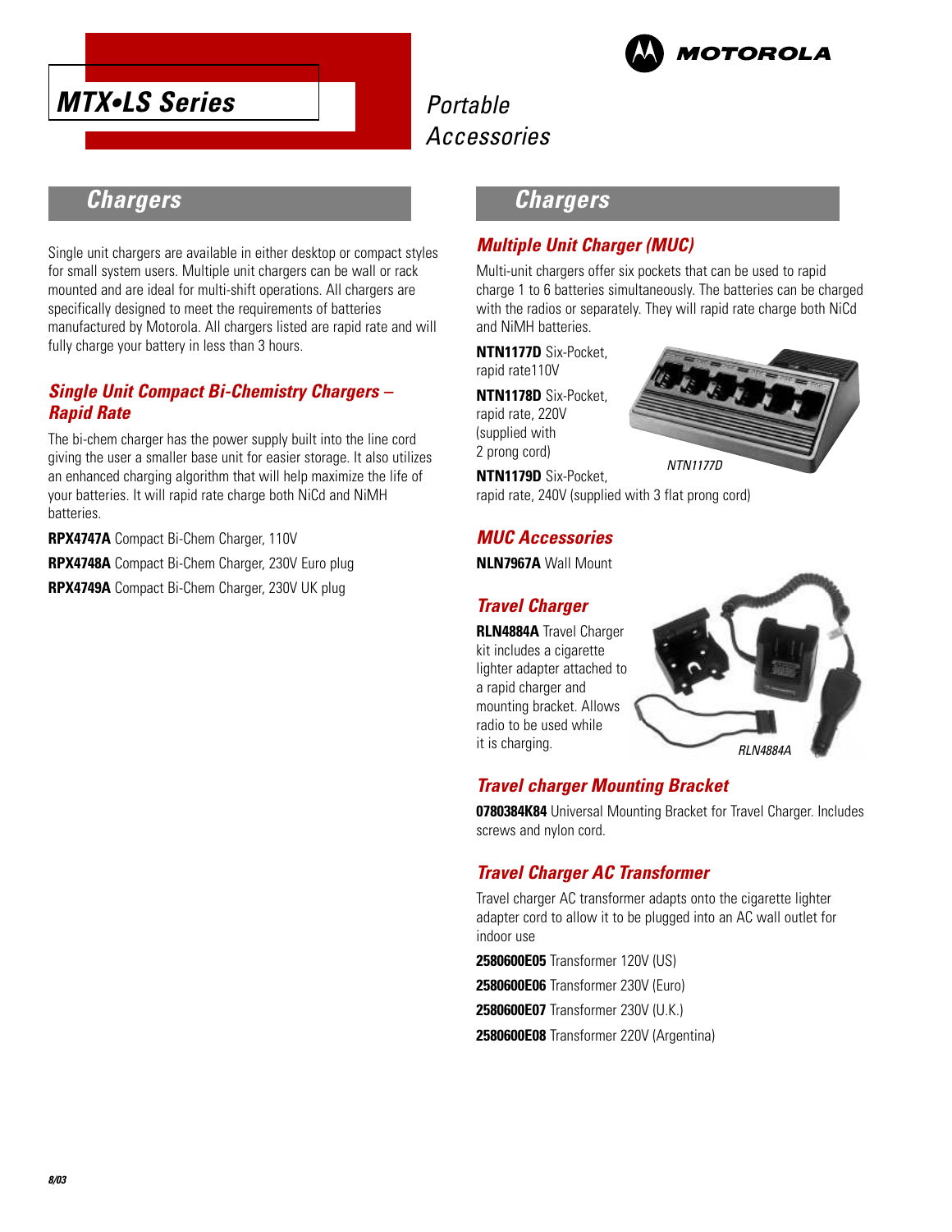



### **Chargers**

Single unit chargers are available in either desktop or compact styles for small system users. Multiple unit chargers can be wall or rack mounted and are ideal for multi-shift operations. All chargers are specifically designed to meet the requirements of batteries manufactured by Motorola. All chargers listed are rapid rate and will fully charge your battery in less than 3 hours.

#### **Single Unit Compact Bi-Chemistry Chargers – Rapid Rate**

The bi-chem charger has the power supply built into the line cord giving the user a smaller base unit for easier storage. It also utilizes an enhanced charging algorithm that will help maximize the life of your batteries. It will rapid rate charge both NiCd and NiMH batteries.

**RPX4747A** Compact Bi-Chem Charger, 110V

**RPX4748A** Compact Bi-Chem Charger, 230V Euro plug

**RPX4749A** Compact Bi-Chem Charger, 230V UK plug

### **Chargers**

#### **Multiple Unit Charger (MUC)**

Multi-unit chargers offer six pockets that can be used to rapid charge 1 to 6 batteries simultaneously. The batteries can be charged with the radios or separately. They will rapid rate charge both NiCd and NiMH batteries.

**NTN1177D** Six-Pocket, rapid rate110V

**NTN1178D** Six-Pocket,

rapid rate, 220V (supplied with 2 prong cord)

**NTN1179D** Six-Pocket,

rapid rate, 240V (supplied with 3 flat prong cord)

#### **MUC Accessories**

**NLN7967A** Wall Mount

#### **Travel Charger**

**RLN4884A** Travel Charger kit includes a cigarette lighter adapter attached to a rapid charger and mounting bracket. Allows radio to be used while it is charging.





### **Travel charger Mounting Bracket**

**0780384K84** Universal Mounting Bracket for Travel Charger. Includes screws and nylon cord.

### **Travel Charger AC Transformer**

Travel charger AC transformer adapts onto the cigarette lighter adapter cord to allow it to be plugged into an AC wall outlet for indoor use

**2580600E05** Transformer 120V (US)

**2580600E06** Transformer 230V (Euro)

**2580600E07** Transformer 230V (U.K.)

**2580600E08** Transformer 220V (Argentina)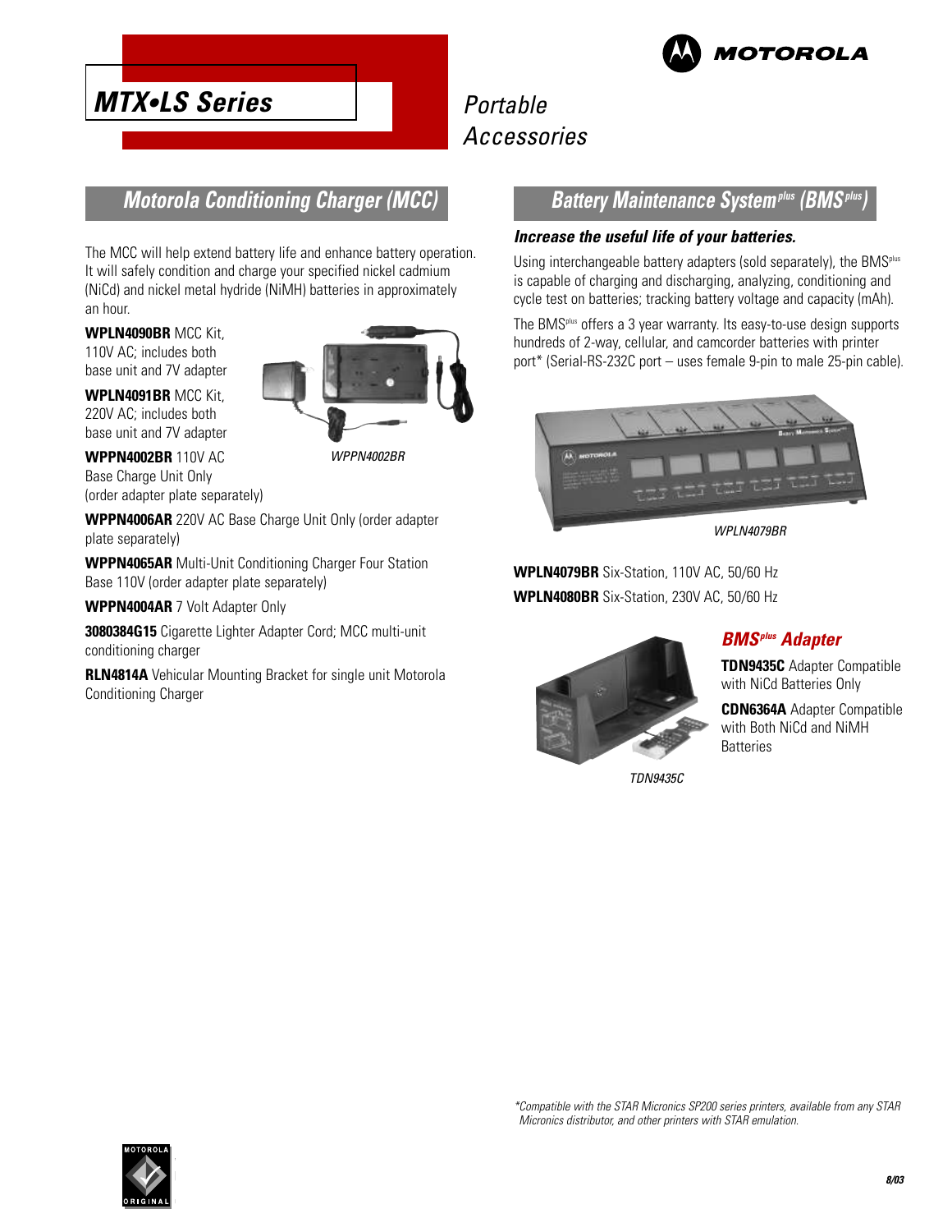

## **Motorola Conditioning Charger (MCC)**

The MCC will help extend battery life and enhance battery operation. It will safely condition and charge your specified nickel cadmium (NiCd) and nickel metal hydride (NiMH) batteries in approximately an hour.

**WPLN4090BR** MCC Kit, 110V AC; includes both base unit and 7V adapter

**MTX•LS Series**

**WPLN4091BR** MCC Kit, 220V AC; includes both base unit and 7V adapter

**WPPN4002BR** 110V AC Base Charge Unit Only (order adapter plate separately) WPPN4002BR

**WPPN4006AR** 220V AC Base Charge Unit Only (order adapter plate separately)

**WPPN4065AR** Multi-Unit Conditioning Charger Four Station Base 110V (order adapter plate separately)

**WPPN4004AR** 7 Volt Adapter Only

**3080384G15** Cigarette Lighter Adapter Cord; MCC multi-unit conditioning charger

**RLN4814A** Vehicular Mounting Bracket for single unit Motorola Conditioning Charger

#### **Battery Maintenance Systemplus (BMSplus)**

#### **Increase the useful life of your batteries.**

Using interchangeable battery adapters (sold separately), the BMS<sup>plus</sup> is capable of charging and discharging, analyzing, conditioning and cycle test on batteries; tracking battery voltage and capacity (mAh).

The BMSplus offers a 3 year warranty. Its easy-to-use design supports hundreds of 2-way, cellular, and camcorder batteries with printer port\* (Serial-RS-232C port – uses female 9-pin to male 25-pin cable).



WPLN4079BR

**WPLN4079BR** Six-Station, 110V AC, 50/60 Hz **WPLN4080BR** Six-Station, 230V AC, 50/60 Hz



TDN9435C

### **BMSplus Adapter**

**TDN9435C** Adapter Compatible with NiCd Batteries Only

**CDN6364A** Adapter Compatible with Both NiCd and NiMH **Batteries** 

\*Compatible with the STAR Micronics SP200 series printers, available from any STAR Micronics distributor, and other printers with STAR emulation.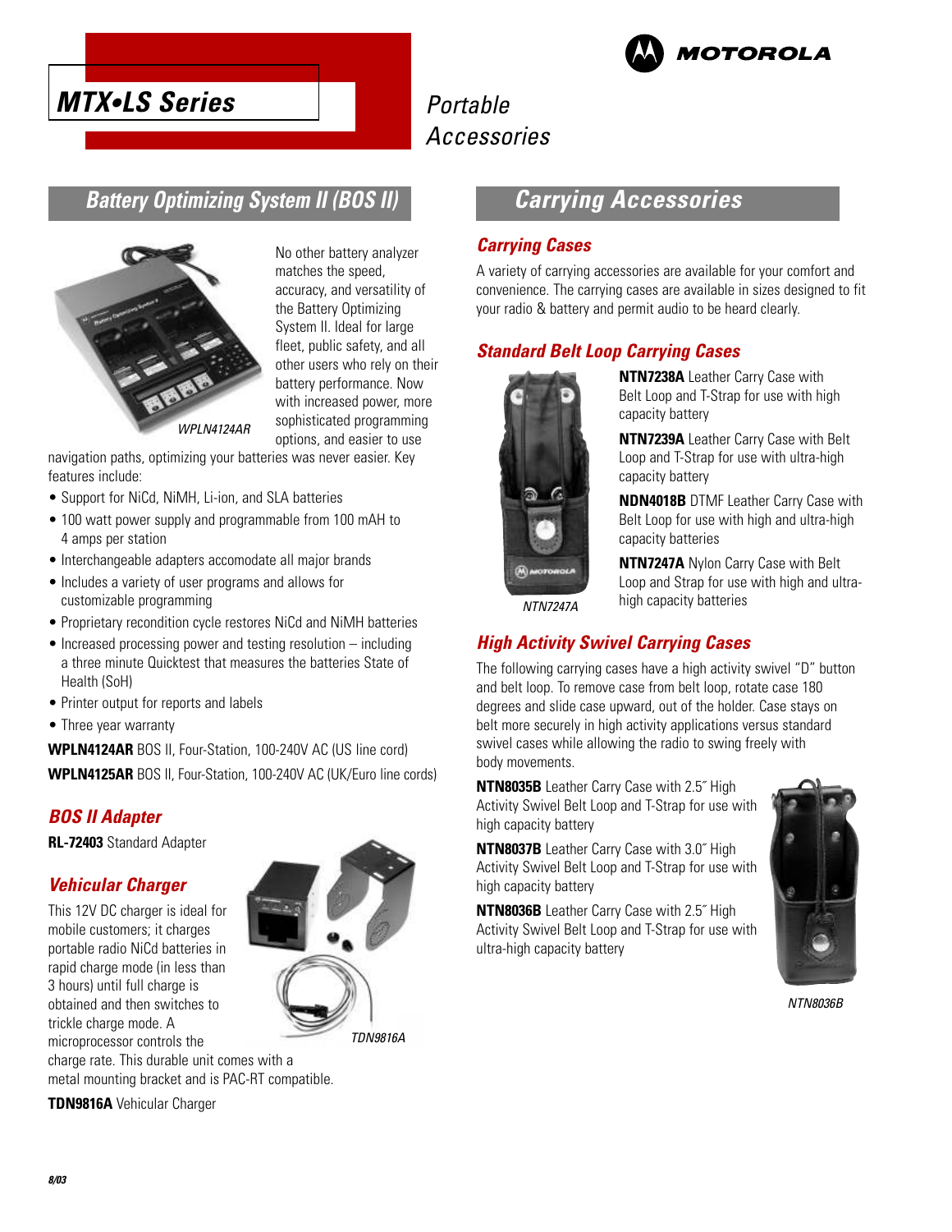



### **Battery Optimizing System II (BOS II)**



No other battery analyzer matches the speed, accuracy, and versatility of the Battery Optimizing System II. Ideal for large fleet, public safety, and all other users who rely on their battery performance. Now with increased power, more sophisticated programming options, and easier to use

WPI N4124AR

navigation paths, optimizing your batteries was never easier. Key features include:

- Support for NiCd, NiMH, Li-ion, and SLA batteries
- 100 watt power supply and programmable from 100 mAH to 4 amps per station
- Interchangeable adapters accomodate all major brands
- Includes a variety of user programs and allows for customizable programming
- Proprietary recondition cycle restores NiCd and NiMH batteries
- Increased processing power and testing resolution including a three minute Quicktest that measures the batteries State of Health (SoH)
- Printer output for reports and labels
- Three year warranty

**WPLN4124AR** BOS II, Four-Station, 100-240V AC (US line cord) **WPLN4125AR** BOS II, Four-Station, 100-240V AC (UK/Euro line cords)

#### **BOS II Adapter**

**RL-72403** Standard Adapter

#### **Vehicular Charger**

This 12V DC charger is ideal for mobile customers; it charges portable radio NiCd batteries in rapid charge mode (in less than 3 hours) until full charge is obtained and then switches to trickle charge mode. A microprocessor controls the charge rate. This durable unit comes with a



metal mounting bracket and is PAC-RT compatible. **TDN9816A** Vehicular Charger

## **Carrying Accessories**

#### **Carrying Cases**

A variety of carrying accessories are available for your comfort and convenience. The carrying cases are available in sizes designed to fit your radio & battery and permit audio to be heard clearly.

#### **Standard Belt Loop Carrying Cases**



**NTN7238A** Leather Carry Case with Belt Loop and T-Strap for use with high capacity battery

**NTN7239A** Leather Carry Case with Belt Loop and T-Strap for use with ultra-high capacity battery

**NDN4018B** DTMF Leather Carry Case with Belt Loop for use with high and ultra-high capacity batteries

**NTN7247A** Nylon Carry Case with Belt Loop and Strap for use with high and ultra-

NTN7247A

# **High Activity Swivel Carrying Cases**

The following carrying cases have a high activity swivel "D" button and belt loop. To remove case from belt loop, rotate case 180 degrees and slide case upward, out of the holder. Case stays on belt more securely in high activity applications versus standard swivel cases while allowing the radio to swing freely with body movements.

high capacity batteries

**NTN8035B** Leather Carry Case with 2.5˝ High Activity Swivel Belt Loop and T-Strap for use with high capacity battery

**NTN8037B** Leather Carry Case with 3.0˝ High Activity Swivel Belt Loop and T-Strap for use with high capacity battery

**NTN8036B** Leather Carry Case with 2.5˝ High Activity Swivel Belt Loop and T-Strap for use with ultra-high capacity battery



NTN8036B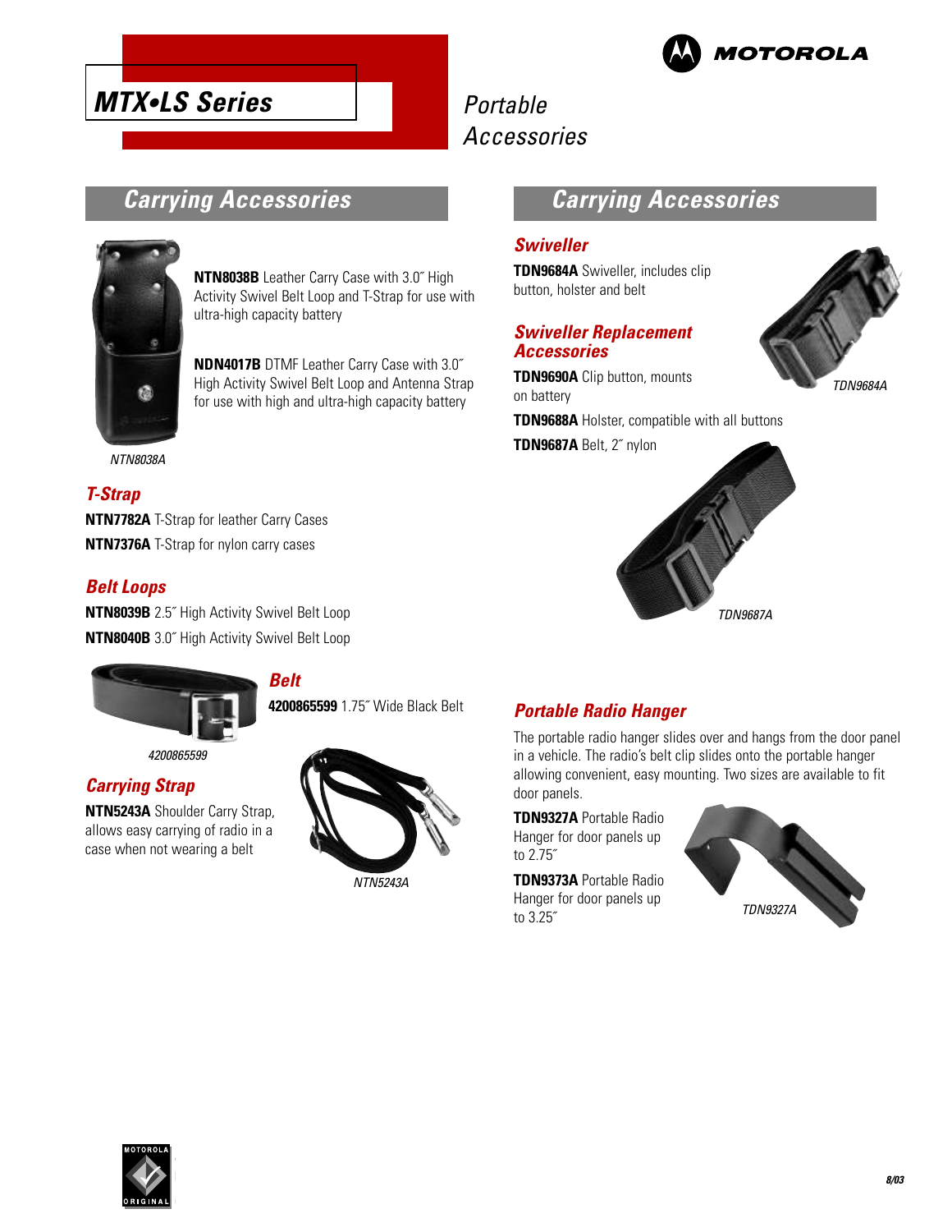

# **Carrying Accessories**

**MTX•LS Series**



**NTN8038B** Leather Carry Case with 3.0˝ High Activity Swivel Belt Loop and T-Strap for use with ultra-high capacity battery

**NDN4017B** DTMF Leather Carry Case with 3.0˝ High Activity Swivel Belt Loop and Antenna Strap for use with high and ultra-high capacity battery

#### NTN8038A

#### **T-Strap**

**NTN7782A** T-Strap for leather Carry Cases **NTN7376A** T-Strap for nylon carry cases

#### **Belt Loops**

**NTN8039B** 2.5˝ High Activity Swivel Belt Loop **NTN8040B** 3.0˝ High Activity Swivel Belt Loop

**Belt**



4200865599

#### **Carrying Strap**

**NTN5243A** Shoulder Carry Strap, allows easy carrying of radio in a case when not wearing a belt



**4200865599** 1.75˝ Wide Black Belt

## **Carrying Accessories**

#### **Swiveller**

**TDN9684A** Swiveller, includes clip button, holster and belt

#### **Swiveller Replacement Accessories**

**TDN9690A** Clip button, mounts on battery

**TDN9688A** Holster, compatible with all buttons

**TDN9687A** Belt, 2˝ nylon



TDN9687A

#### **Portable Radio Hanger**

The portable radio hanger slides over and hangs from the door panel in a vehicle. The radio's belt clip slides onto the portable hanger allowing convenient, easy mounting. Two sizes are available to fit door panels.

**TDN9327A** Portable Radio Hanger for door panels up to 2.75˝

**TDN9373A** Portable Radio Hanger for door panels up to 3.25˝



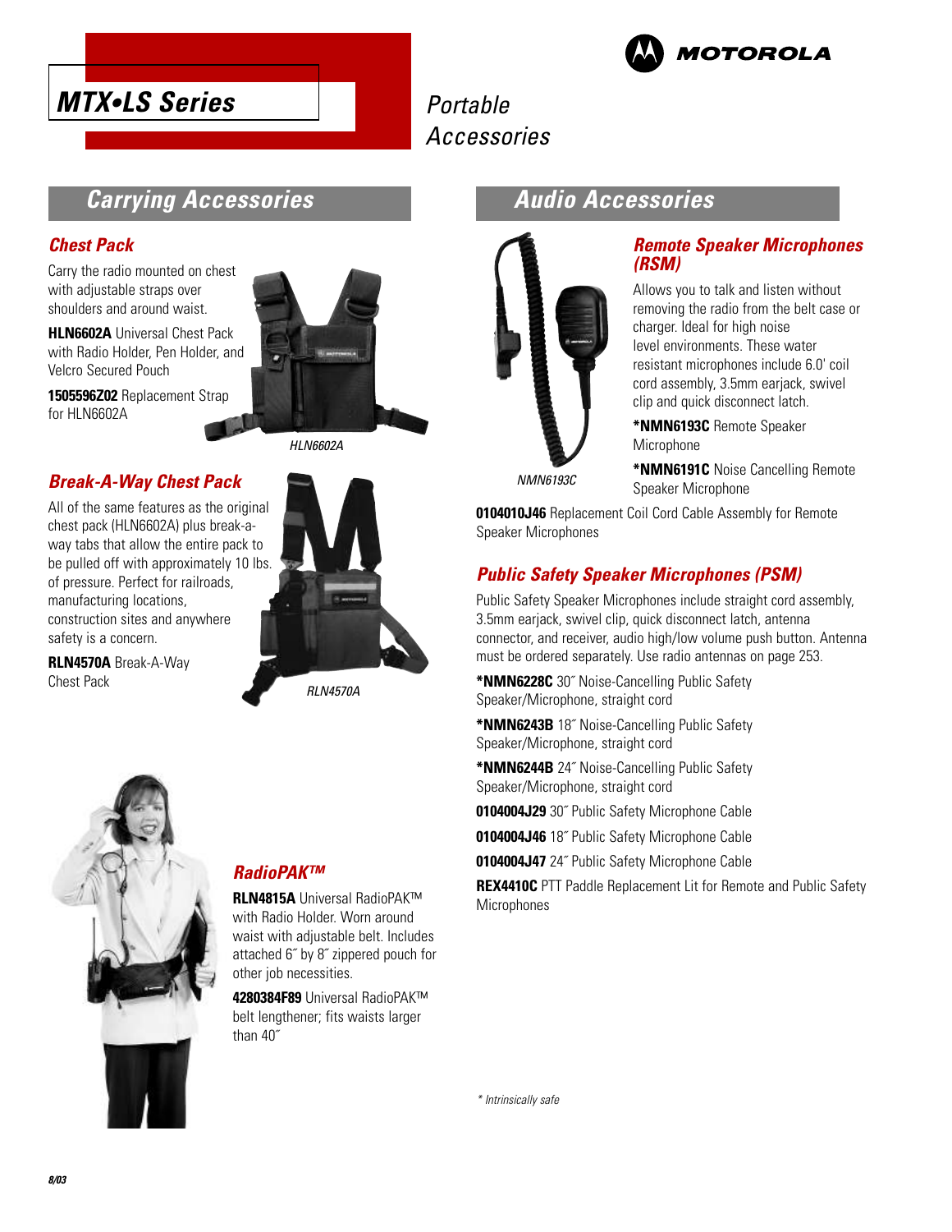



### **Carrying Accessories**

#### **Chest Pack**

Carry the radio mounted on chest with adjustable straps over shoulders and around waist.

**HLN6602A** Universal Chest Pack with Radio Holder, Pen Holder, and Velcro Secured Pouch

**1505596Z02** Replacement Strap for HLN6602A



All of the same features as the original chest pack (HLN6602A) plus break-away tabs that allow the entire pack to be pulled off with approximately 10 lbs. of pressure. Perfect for railroads, manufacturing locations, construction sites and anywhere safety is a concern.

**RLN4570A** Break-A-Way Chest Pack





RLN4570A



#### **RadioPAK™**

**RLN4815A** Universal RadioPAK™ with Radio Holder. Worn around waist with adjustable belt. Includes attached 6˝ by 8˝ zippered pouch for other job necessities.

**4280384F89** Universal RadioPAK™ belt lengthener; fits waists larger than 40˝

### **Audio Accessories**



#### **Remote Speaker Microphones (RSM)**

Allows you to talk and listen without removing the radio from the belt case or charger. Ideal for high noise level environments. These water resistant microphones include 6.0' coil cord assembly, 3.5mm earjack, swivel clip and quick disconnect latch.

**\*NMN6193C** Remote Speaker Microphone

**\*NMN6191C** Noise Cancelling Remote Speaker Microphone

**0104010J46** Replacement Coil Cord Cable Assembly for Remote Speaker Microphones

### **Public Safety Speaker Microphones (PSM)**

Public Safety Speaker Microphones include straight cord assembly, 3.5mm earjack, swivel clip, quick disconnect latch, antenna connector, and receiver, audio high/low volume push button. Antenna must be ordered separately. Use radio antennas on page 253.

**\*NMN6228C** 30˝ Noise-Cancelling Public Safety Speaker/Microphone, straight cord

**\*NMN6243B** 18˝ Noise-Cancelling Public Safety Speaker/Microphone, straight cord

**\*NMN6244B** 24˝ Noise-Cancelling Public Safety Speaker/Microphone, straight cord

**0104004J29** 30˝ Public Safety Microphone Cable

**0104004J46** 18˝ Public Safety Microphone Cable

**0104004J47** 24˝ Public Safety Microphone Cable

**REX4410C** PTT Paddle Replacement Lit for Remote and Public Safety **Microphones**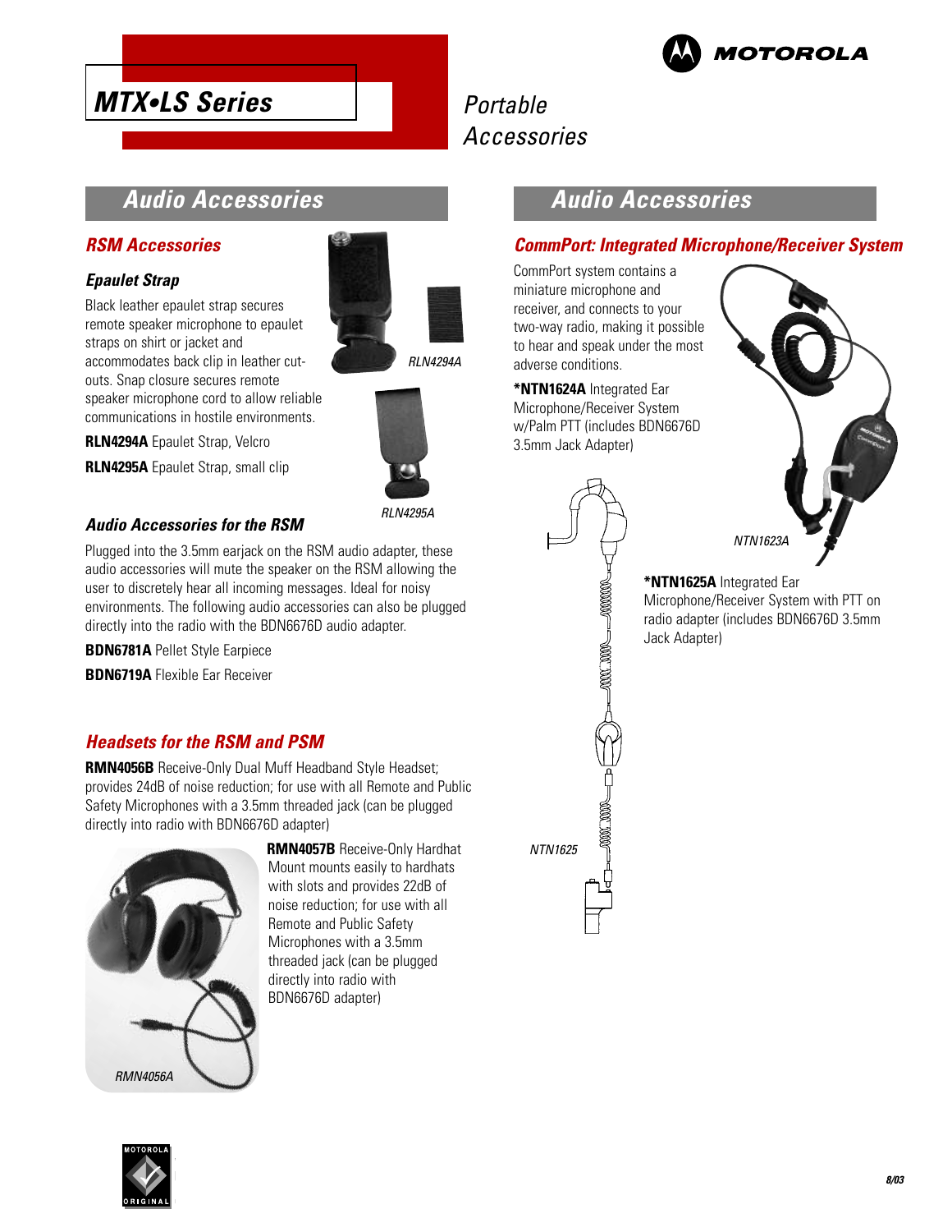

# **Audio Accessories**

#### **RSM Accessories**

**MTX•LS Series**

#### **Epaulet Strap**

Black leather epaulet strap secures remote speaker microphone to epaulet straps on shirt or jacket and accommodates back clip in leather cutouts. Snap closure secures remote speaker microphone cord to allow reliable communications in hostile environments.

**RLN4294A** Epaulet Strap, Velcro

**RLN4295A** Epaulet Strap, small clip

#### **Audio Accessories for the RSM**

Plugged into the 3.5mm earjack on the RSM audio adapter, these audio accessories will mute the speaker on the RSM allowing the user to discretely hear all incoming messages. Ideal for noisy environments. The following audio accessories can also be plugged directly into the radio with the BDN6676D audio adapter.

**BDN6781A** Pellet Style Earpiece

**BDN6719A** Flexible Ear Receiver

#### **Headsets for the RSM and PSM**

**RMN4056B** Receive-Only Dual Muff Headband Style Headset; provides 24dB of noise reduction; for use with all Remote and Public Safety Microphones with a 3.5mm threaded jack (can be plugged directly into radio with BDN6676D adapter)



**RMN4057B** Receive-Only Hardhat Mount mounts easily to hardhats with slots and provides 22dB of noise reduction; for use with all Remote and Public Safety Microphones with a 3.5mm threaded jack (can be plugged directly into radio with BDN6676D adapter)





RLN4295A

# **Audio Accessories**

#### **CommPort: Integrated Microphone/Receiver System**

CommPort system contains a miniature microphone and receiver, and connects to your two-way radio, making it possible to hear and speak under the most adverse conditions.

**\*NTN1624A** Integrated Ear Microphone/Receiver System w/Palm PTT (includes BDN6676D 3.5mm Jack Adapter)

ANNA MANA

 $\leftarrow 20000$ 

NTN1625



**\*NTN1625A** Integrated Ear Microphone/Receiver System with PTT on radio adapter (includes BDN6676D 3.5mm Jack Adapter)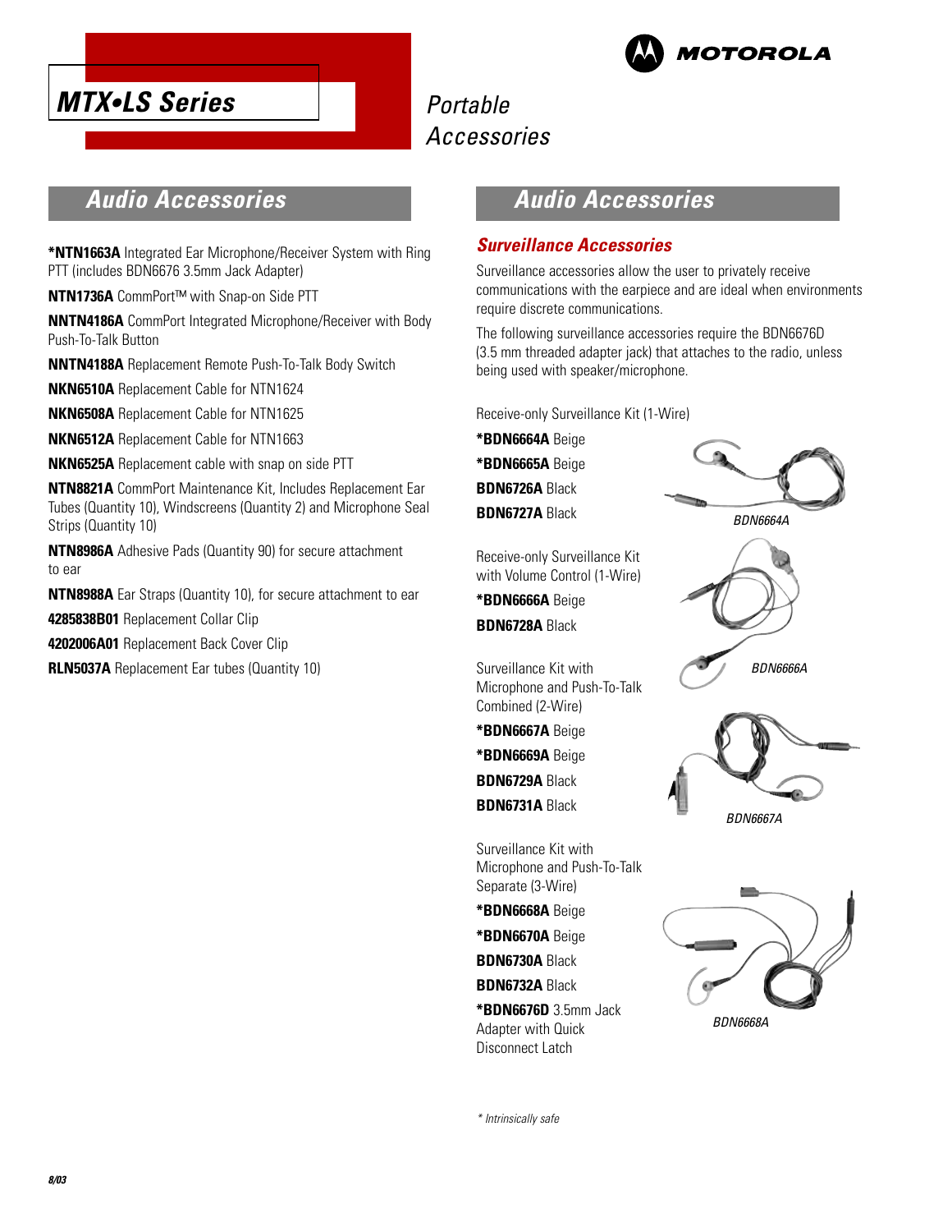



# **Audio Accessories**

**\*NTN1663A** Integrated Ear Microphone/Receiver System with Ring PTT (includes BDN6676 3.5mm Jack Adapter)

**NTN1736A** CommPort™ with Snap-on Side PTT

**NNTN4186A** CommPort Integrated Microphone/Receiver with Body Push-To-Talk Button

**NNTN4188A** Replacement Remote Push-To-Talk Body Switch

**NKN6510A** Replacement Cable for NTN1624

**NKN6508A** Replacement Cable for NTN1625

**NKN6512A** Replacement Cable for NTN1663

**NKN6525A** Replacement cable with snap on side PTT

**NTN8821A** CommPort Maintenance Kit, Includes Replacement Ear Tubes (Quantity 10), Windscreens (Quantity 2) and Microphone Seal Strips (Quantity 10)

**NTN8986A** Adhesive Pads (Quantity 90) for secure attachment to ear

**NTN8988A** Ear Straps (Quantity 10), for secure attachment to ear

**4285838B01** Replacement Collar Clip

**4202006A01** Replacement Back Cover Clip

**RLN5037A** Replacement Ear tubes (Quantity 10)

# **Audio Accessories**

#### **Surveillance Accessories**

Surveillance accessories allow the user to privately receive communications with the earpiece and are ideal when environments require discrete communications.

The following surveillance accessories require the BDN6676D (3.5 mm threaded adapter jack) that attaches to the radio, unless being used with speaker/microphone.

Receive-only Surveillance Kit (1-Wire)

**\*BDN6664A** Beige

**\*BDN6665A** Beige

**BDN6726A** Black

**BDN6727A** Black

BDN6664A

Receive-only Surveillance Kit with Volume Control (1-Wire)

**\*BDN6666A** Beige **BDN6728A** Black

Surveillance Kit with Microphone and Push-To-Talk Combined (2-Wire)

**\*BDN6667A** Beige

**\*BDN6669A** Beige

**BDN6729A** Black

**BDN6731A** Black

Surveillance Kit with Microphone and Push-To-Talk Separate (3-Wire)

**\*BDN6668A** Beige

**\*BDN6670A** Beige

**BDN6730A** Black

**BDN6732A** Black

**\*BDN6676D** 3.5mm Jack Adapter with Quick Disconnect Latch



BDN6667A

BDN6666A

BDN6668A

\* Intrinsically safe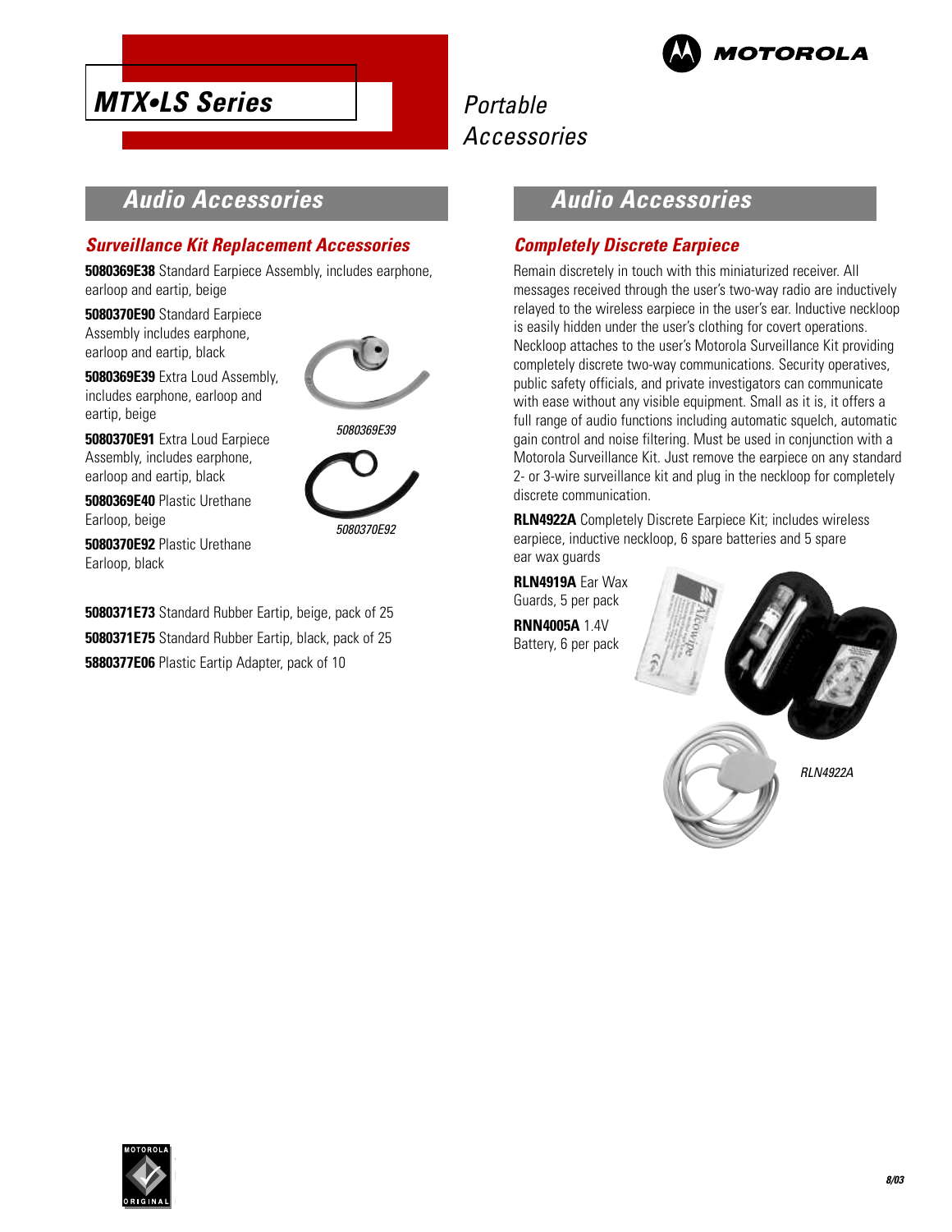

# **Audio Accessories**

#### **Surveillance Kit Replacement Accessories**

**5080369E38** Standard Earpiece Assembly, includes earphone, earloop and eartip, beige

**5080370E90** Standard Earpiece Assembly includes earphone, earloop and eartip, black

**MTX•LS Series**

**5080369E39** Extra Loud Assembly, includes earphone, earloop and eartip, beige



5080370E92

**5080370E91** Extra Loud Earpiece Assembly, includes earphone, earloop and eartip, black

**5080369E40** Plastic Urethane Earloop, beige

**5080370E92** Plastic Urethane Earloop, black

**5080371E73** Standard Rubber Eartip, beige, pack of 25 **5080371E75** Standard Rubber Eartip, black, pack of 25 **5880377E06** Plastic Eartip Adapter, pack of 10

# **Audio Accessories**

#### **Completely Discrete Earpiece**

Remain discretely in touch with this miniaturized receiver. All messages received through the user's two-way radio are inductively relayed to the wireless earpiece in the user's ear. Inductive neckloop is easily hidden under the user's clothing for covert operations. Neckloop attaches to the user's Motorola Surveillance Kit providing completely discrete two-way communications. Security operatives, public safety officials, and private investigators can communicate with ease without any visible equipment. Small as it is, it offers a full range of audio functions including automatic squelch, automatic gain control and noise filtering. Must be used in conjunction with a Motorola Surveillance Kit. Just remove the earpiece on any standard 2- or 3-wire surveillance kit and plug in the neckloop for completely discrete communication.

**RLN4922A** Completely Discrete Earpiece Kit; includes wireless earpiece, inductive neckloop, 6 spare batteries and 5 spare ear wax guards

**RLN4919A** Ear Wax Guards, 5 per pack **RNN4005A** 1.4V Battery, 6 per pack



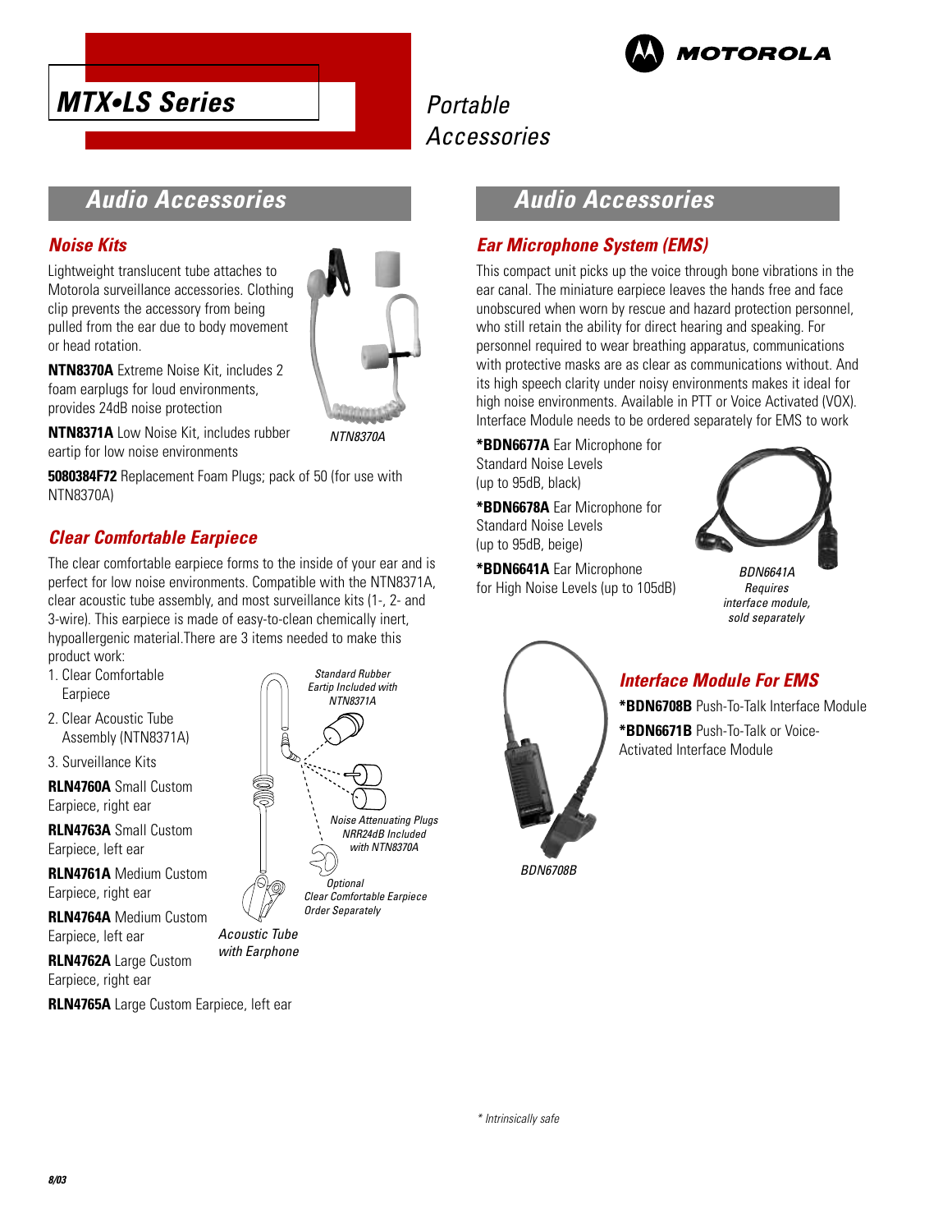



# **Audio Accessories**

#### **Noise Kits**

Lightweight translucent tube attaches to Motorola surveillance accessories. Clothing clip prevents the accessory from being pulled from the ear due to body movement or head rotation.



**NTN8370A** Extreme Noise Kit, includes 2 foam earplugs for loud environments, provides 24dB noise protection

**NTN8371A** Low Noise Kit, includes rubber eartip for low noise environments

**5080384F72** Replacement Foam Plugs; pack of 50 (for use with NTN8370A)

### **Clear Comfortable Earpiece**

The clear comfortable earpiece forms to the inside of your ear and is perfect for low noise environments. Compatible with the NTN8371A, clear acoustic tube assembly, and most surveillance kits (1-, 2- and 3-wire). This earpiece is made of easy-to-clean chemically inert, hypoallergenic material.There are 3 items needed to make this product work:

- 1. Clear Comfortable Earpiece
- 2. Clear Acoustic Tube Assembly (NTN8371A)
- 3. Surveillance Kits

**RLN4760A** Small Custom Earpiece, right ear

**RLN4763A** Small Custom Earpiece, left ear

**RLN4761A** Medium Custom Earpiece, right ear

**RLN4764A** Medium Custom Earpiece, left ear

**RLN4762A** Large Custom Earpiece, right ear

**RLN4765A** Large Custom Earpiece, left ear



Acoustic Tube\* with Earphone

## **Audio Accessories**

#### **Ear Microphone System (EMS)**

This compact unit picks up the voice through bone vibrations in the ear canal. The miniature earpiece leaves the hands free and face unobscured when worn by rescue and hazard protection personnel, who still retain the ability for direct hearing and speaking. For personnel required to wear breathing apparatus, communications with protective masks are as clear as communications without. And its high speech clarity under noisy environments makes it ideal for high noise environments. Available in PTT or Voice Activated (VOX). Interface Module needs to be ordered separately for EMS to work

**\*BDN6677A** Ear Microphone for Standard Noise Levels (up to 95dB, black)

**\*BDN6678A** Ear Microphone for Standard Noise Levels (up to 95dB, beige)

**\*BDN6641A** Ear Microphone for High Noise Levels (up to 105dB)



BDN6641A **Requires** interface module, sold separately



### **Interface Module For EMS**

**\*BDN6708B** Push-To-Talk Interface Module **\*BDN6671B** Push-To-Talk or Voice-Activated Interface Module

BDN6708B

\* Intrinsically safe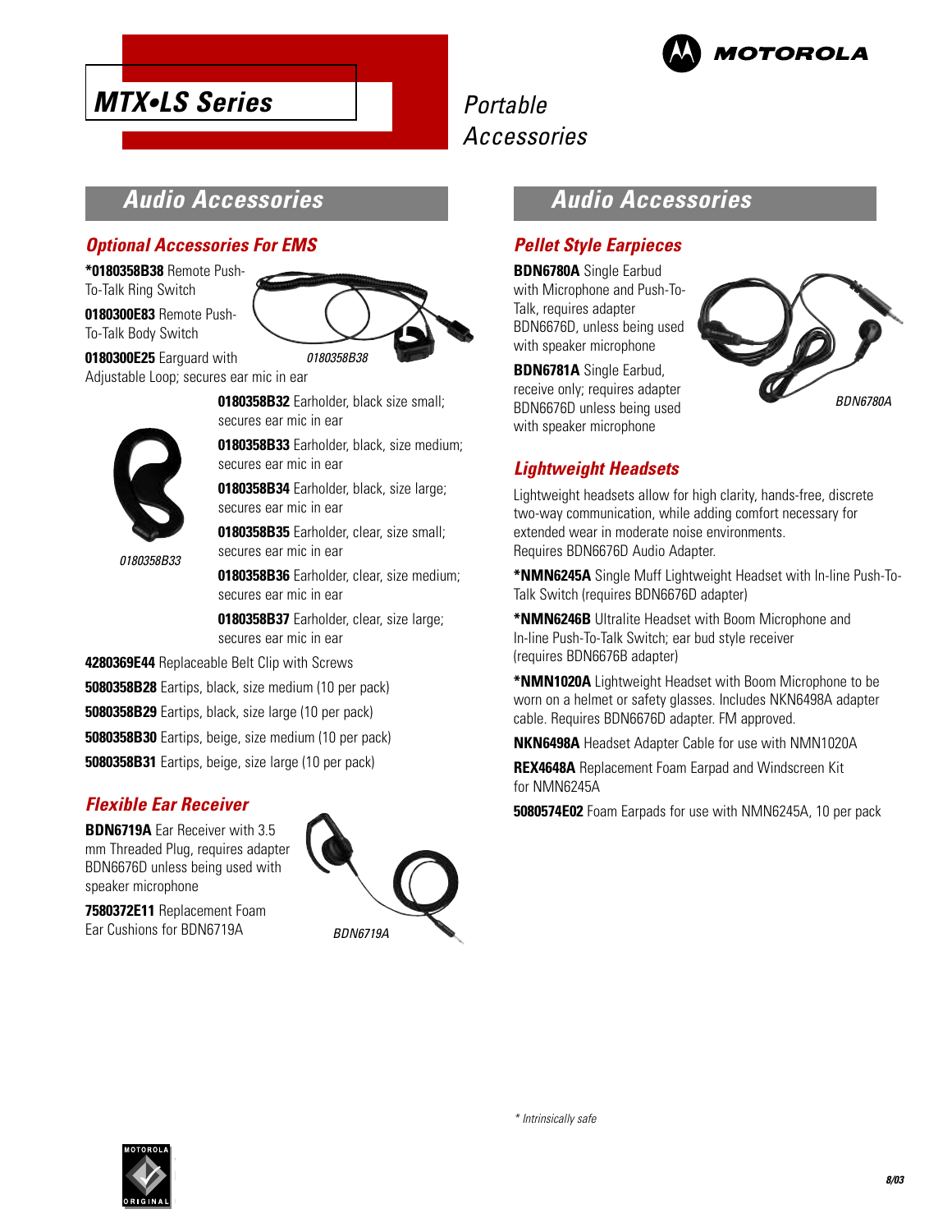

# **Audio Accessories**

#### **Optional Accessories For EMS**

**MTX•LS Series**

**\*0180358B38** Remote Push-To-Talk Ring Switch

**0180300E83** Remote Push-To-Talk Body Switch

0180358B33



**0180300E25** Earguard with Adjustable Loop; secures ear mic in ear

> **0180358B32** Earholder, black size small; secures ear mic in ear

**0180358B33** Earholder, black, size medium; secures ear mic in ear

**0180358B34** Earholder, black, size large; secures ear mic in ear

**0180358B35** Earholder, clear, size small; secures ear mic in ear

**0180358B36** Earholder, clear, size medium; secures ear mic in ear

**0180358B37** Earholder, clear, size large; secures ear mic in ear

**4280369E44** Replaceable Belt Clip with Screws

**5080358B28** Eartips, black, size medium (10 per pack)

**5080358B29** Eartips, black, size large (10 per pack)

**5080358B30** Eartips, beige, size medium (10 per pack)

**5080358B31** Eartips, beige, size large (10 per pack)

#### **Flexible Ear Receiver**

**BDN6719A** Ear Receiver with 3.5 mm Threaded Plug, requires adapter BDN6676D unless being used with speaker microphone

**7580372E11** Replacement Foam Ear Cushions for BDN6719A



# **Audio Accessories**

#### **Pellet Style Earpieces**

**BDN6780A** Single Earbud with Microphone and Push-To-Talk, requires adapter BDN6676D, unless being used with speaker microphone

**BDN6781A** Single Earbud, receive only; requires adapter BDN6676D unless being used with speaker microphone



#### **Lightweight Headsets**

Lightweight headsets allow for high clarity, hands-free, discrete two-way communication, while adding comfort necessary for extended wear in moderate noise environments. Requires BDN6676D Audio Adapter.

**\*NMN6245A** Single Muff Lightweight Headset with In-line Push-To-Talk Switch (requires BDN6676D adapter)

**\*NMN6246B** Ultralite Headset with Boom Microphone and In-line Push-To-Talk Switch; ear bud style receiver (requires BDN6676B adapter)

**\*NMN1020A** Lightweight Headset with Boom Microphone to be worn on a helmet or safety glasses. Includes NKN6498A adapter cable. Requires BDN6676D adapter. FM approved.

**NKN6498A** Headset Adapter Cable for use with NMN1020A

**REX4648A** Replacement Foam Earpad and Windscreen Kit for NMN6245A

**5080574E02** Foam Earpads for use with NMN6245A, 10 per pack

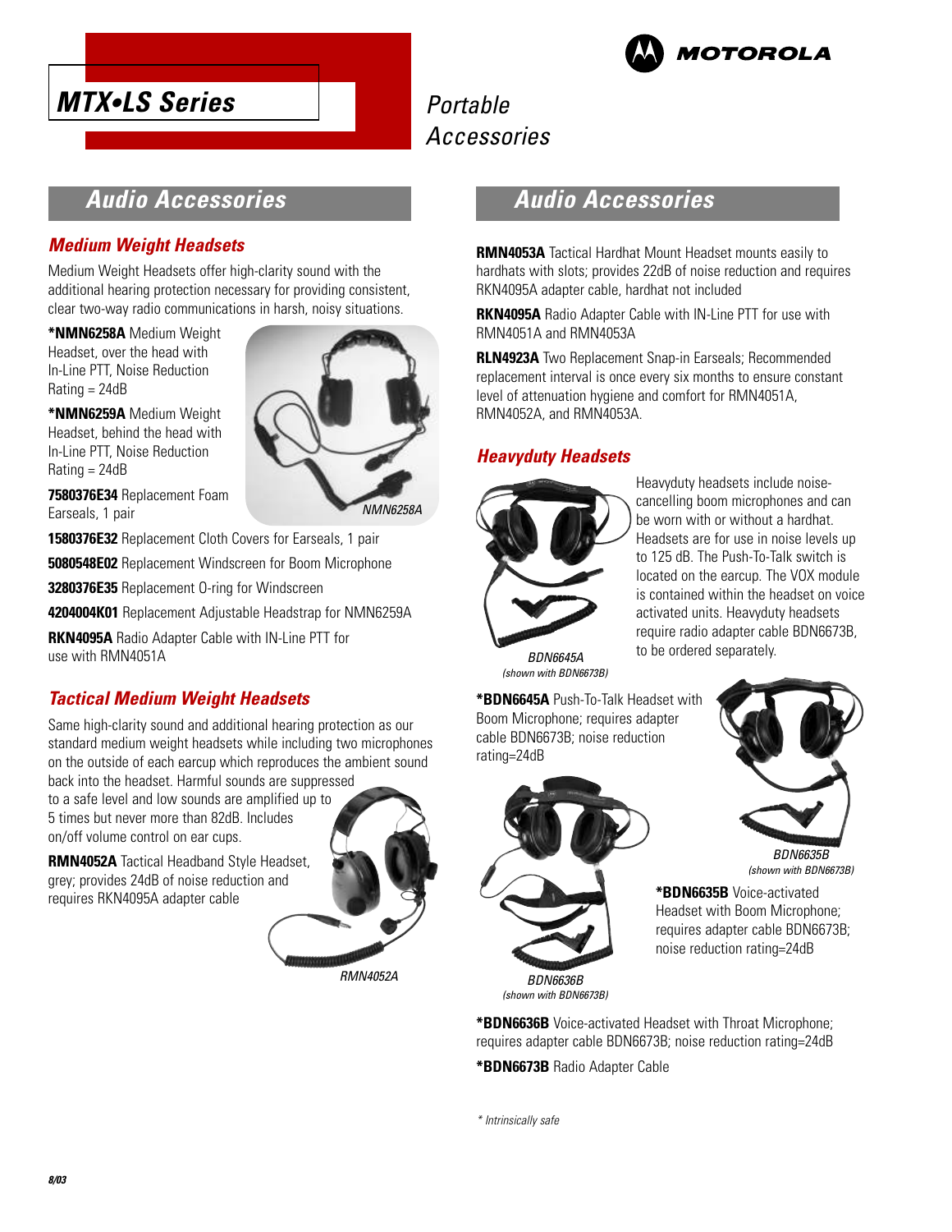



# **Audio Accessories**

#### **Medium Weight Headsets**

Medium Weight Headsets offer high-clarity sound with the additional hearing protection necessary for providing consistent, clear two-way radio communications in harsh, noisy situations.

**\*NMN6258A** Medium Weight Headset, over the head with In-Line PTT, Noise Reduction  $Rating = 24dB$ 

**\*NMN6259A** Medium Weight Headset, behind the head with In-Line PTT, Noise Reduction Rating = 24dB



**7580376E34** Replacement Foam Earseals, 1 pair

**1580376E32** Replacement Cloth Covers for Earseals, 1 pair

**5080548E02** Replacement Windscreen for Boom Microphone

**3280376E35** Replacement O-ring for Windscreen

**4204004K01** Replacement Adjustable Headstrap for NMN6259A

**RKN4095A** Radio Adapter Cable with IN-Line PTT for use with RMN4051A

### **Tactical Medium Weight Headsets**

Same high-clarity sound and additional hearing protection as our standard medium weight headsets while including two microphones on the outside of each earcup which reproduces the ambient sound

back into the headset. Harmful sounds are suppressed to a safe level and low sounds are amplified up to 5 times but never more than 82dB. Includes on/off volume control on ear cups.

**RMN4052A** Tactical Headband Style Headset, grey; provides 24dB of noise reduction and requires RKN4095A adapter cable



# **Audio Accessories**

**RMN4053A** Tactical Hardhat Mount Headset mounts easily to hardhats with slots; provides 22dB of noise reduction and requires RKN4095A adapter cable, hardhat not included

**RKN4095A** Radio Adapter Cable with IN-Line PTT for use with RMN4051A and RMN4053A

**RLN4923A** Two Replacement Snap-in Earseals; Recommended replacement interval is once every six months to ensure constant level of attenuation hygiene and comfort for RMN4051A, RMN4052A, and RMN4053A.

#### **Heavyduty Headsets**



Heavyduty headsets include noisecancelling boom microphones and can be worn with or without a hardhat. Headsets are for use in noise levels up to 125 dB. The Push-To-Talk switch is located on the earcup. The VOX module is contained within the headset on voice activated units. Heavyduty headsets require radio adapter cable BDN6673B, to be ordered separately.

BDN6645A (shown with BDN6673B)

**\*BDN6645A** Push-To-Talk Headset with Boom Microphone; requires adapter cable BDN6673B; noise reduction rating=24dB



(shown with BDN6673B)

**\*BDN6636B** Voice-activated Headset with Throat Microphone; requires adapter cable BDN6673B; noise reduction rating=24dB

**\*BDN6673B** Radio Adapter Cable

\* Intrinsically safe



BDN6635B (shown with BDN6673B)

**\*BDN6635B** Voice-activated Headset with Boom Microphone; requires adapter cable BDN6673B; noise reduction rating=24dB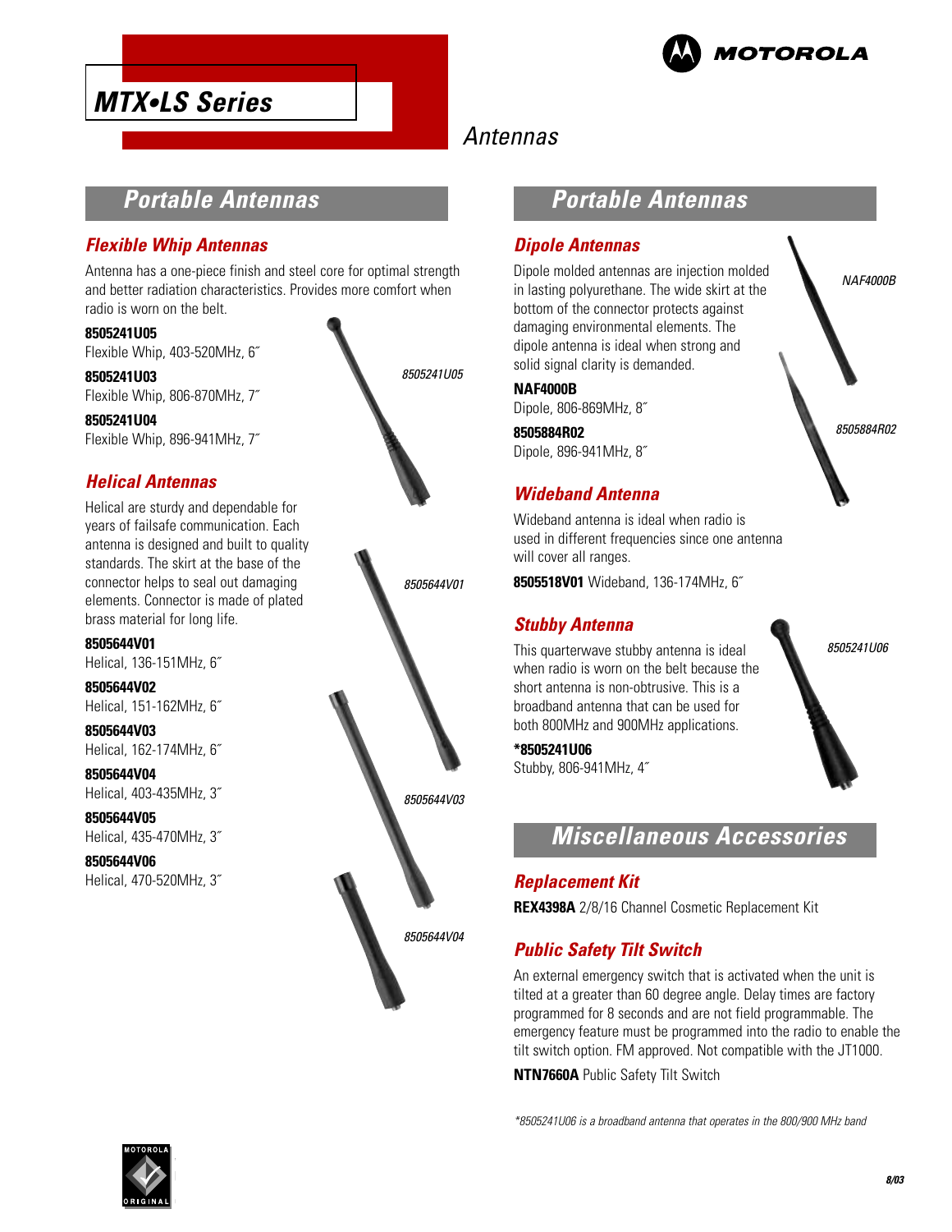

NAF4000B

8505884R02

8505241U06

# **MTX•LS Series**

# Antennas

# **Portable Antennas**

#### **Flexible Whip Antennas**

Antenna has a one-piece finish and steel core for optimal strength and better radiation characteristics. Provides more comfort when radio is worn on the belt.

#### **8505241U05**

Flexible Whip, 403-520MHz, 6˝

**8505241U03** Flexible Whip, 806-870MHz, 7˝

**8505241U04** Flexible Whip, 896-941MHz, 7˝

#### **Helical Antennas**

Helical are sturdy and dependable for years of failsafe communication. Each antenna is designed and built to quality standards. The skirt at the base of the connector helps to seal out damaging elements. Connector is made of plated brass material for long life.

**8505644V01** Helical, 136-151MHz, 6˝

**8505644V02** Helical, 151-162MHz, 6˝

**8505644V03** Helical, 162-174MHz, 6˝

**8505644V04** Helical, 403-435MHz, 3˝

**8505644V05** Helical, 435-470MHz, 3˝

**8505644V06** Helical, 470-520MHz, 3˝



8505644V04

## **Portable Antennas**

#### **Dipole Antennas**

Dipole molded antennas are injection molded in lasting polyurethane. The wide skirt at the bottom of the connector protects against damaging environmental elements. The dipole antenna is ideal when strong and solid signal clarity is demanded.

#### **NAF4000B**

Dipole, 806-869MHz, 8˝

**8505884R02** Dipole, 896-941MHz, 8˝

#### **Wideband Antenna**

Wideband antenna is ideal when radio is used in different frequencies since one antenna will cover all ranges.

**8505518V01** Wideband, 136-174MHz, 6˝

#### **Stubby Antenna**

This quarterwave stubby antenna is ideal when radio is worn on the belt because the short antenna is non-obtrusive. This is a broadband antenna that can be used for both 800MHz and 900MHz applications.

**\*8505241U06** Stubby, 806-941MHz, 4˝

# **Miscellaneous Accessories**

#### **Replacement Kit**

**REX4398A** 2/8/16 Channel Cosmetic Replacement Kit

### **Public Safety Tilt Switch**

An external emergency switch that is activated when the unit is tilted at a greater than 60 degree angle. Delay times are factory programmed for 8 seconds and are not field programmable. The emergency feature must be programmed into the radio to enable the tilt switch option. FM approved. Not compatible with the JT1000.

**NTN7660A** Public Safety Tilt Switch

\*8505241U06 is a broadband antenna that operates in the 800/900 MHz band

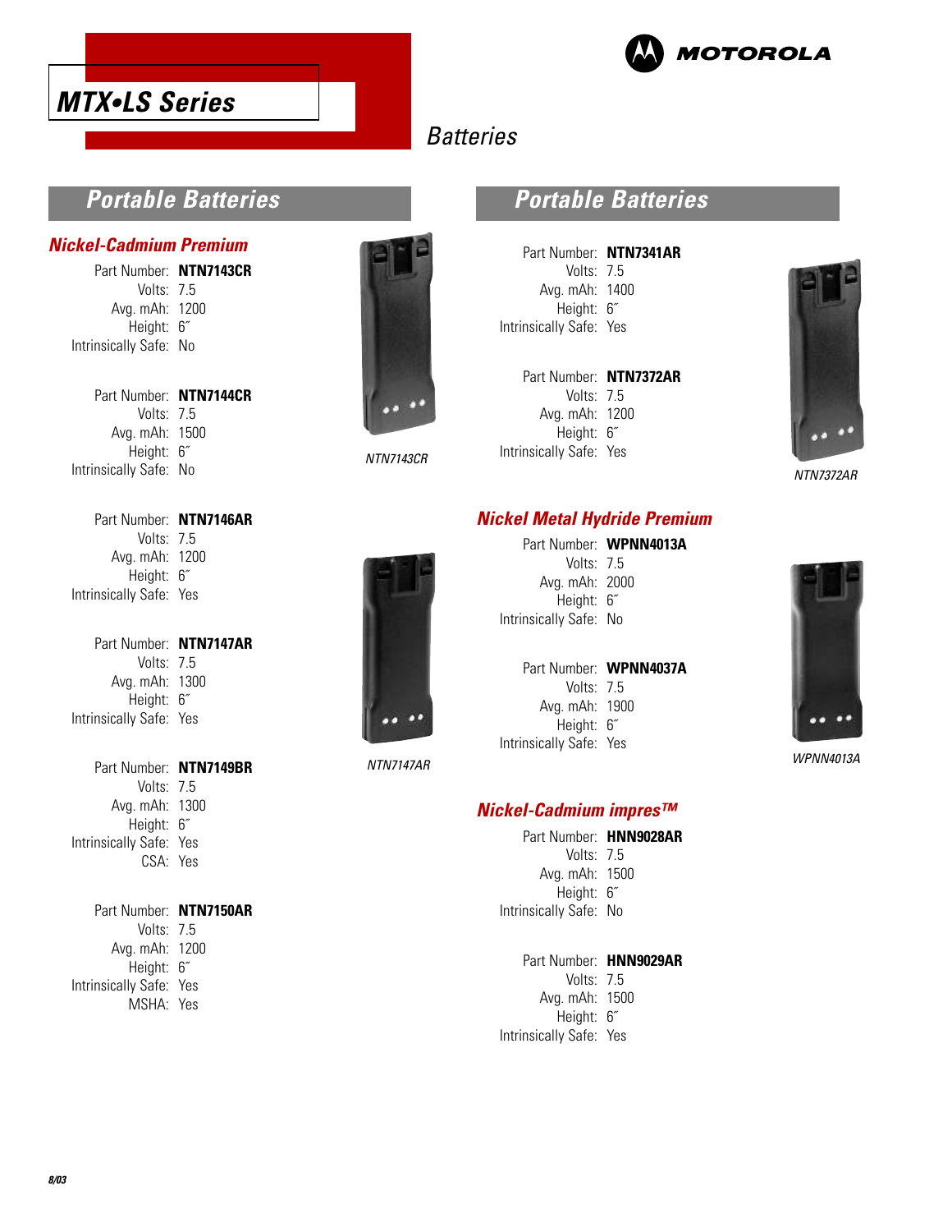



# **Batteries**

## **Portable Batteries**

#### **Nickel-Cadmium Premium**

Part Number: **NTN7143CR** Volts: 7.5 Avg. mAh: 1200 Height: 6˝ Intrinsically Safe: No

Part Number: **NTN7144CR** Volts: 7.5 Avg. mAh: 1500 Height: 6˝ Intrinsically Safe: No



#### NTN7143CR

### **Portable Batteries**

| Part Number: NTN7341AR  |
|-------------------------|
| Volts: 7.5              |
| Avg. mAh: 1400          |
| Height: 6"              |
| Intrinsically Safe: Yes |
|                         |

| Part Number: NTN7372AR  |  |
|-------------------------|--|
| Volts: $75$             |  |
| Avg. mAh: 1200          |  |
| Height: 6"              |  |
| Intrinsically Safe: Yes |  |

**Nickel Metal Hydride Premium**



NTN7372AR

| Part Number: NTN7146AR  |  |
|-------------------------|--|
| Volts: $75$             |  |
| Avg. mAh: 1200          |  |
| Height: 6"              |  |
| Intrinsically Safe: Yes |  |

Part Number: **NTN7147AR** Volts: 7.5 Avg. mAh: 1300 Height: 6˝ Intrinsically Safe: Yes

Part Number: **NTN7149BR** Volts: 7.5 Avg. mAh: 1300 Height: 6˝ Intrinsically Safe: Yes CSA: Yes

Part Number: **NTN7150AR** Volts: 7.5 Avg. mAh: 1200 Height: 6˝ Intrinsically Safe: Yes MSHA: Yes



NTN7147AR

#### Part Number: **WPNN4013A** Volts: 7.5 Avg. mAh: 2000 Height: 6˝

Intrinsically Safe: No

#### Part Number: **WPNN4037A** Volts: 7.5

Avg. mAh: 1900 Height: 6˝ Intrinsically Safe: Yes

#### **Nickel-Cadmium impres™**

|                        | Part Number: HNN9028AR |
|------------------------|------------------------|
| Volts: $7.5$           |                        |
| Avg. mAh: 1500         |                        |
| Height: 6"             |                        |
| Intrinsically Safe: No |                        |
|                        |                        |

Part Number: **HNN9029AR** Volts: 7.5 Avg. mAh: 1500 Height: 6˝ Intrinsically Safe: Yes



WPNN4013A